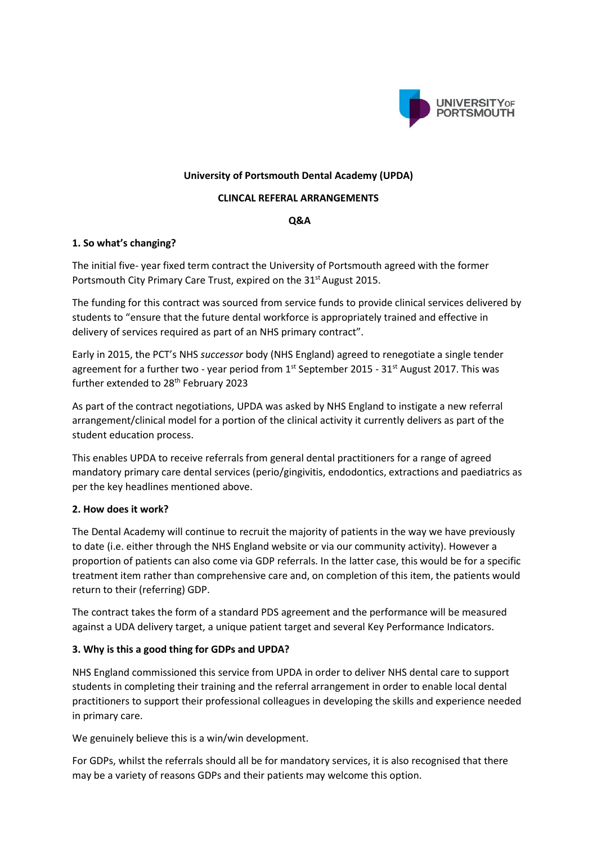

### **University of Portsmouth Dental Academy (UPDA)**

#### **CLINCAL REFERAL ARRANGEMENTS**

### **Q&A**

## **1. So what's changing?**

The initial five- year fixed term contract the University of Portsmouth agreed with the former Portsmouth City Primary Care Trust, expired on the 31<sup>st</sup> August 2015.

The funding for this contract was sourced from service funds to provide clinical services delivered by students to "ensure that the future dental workforce is appropriately trained and effective in delivery of services required as part of an NHS primary contract".

Early in 2015, the PCT's NHS *successor* body (NHS England) agreed to renegotiate a single tender agreement for a further two - year period from  $1<sup>st</sup>$  September 2015 - 31 $<sup>st</sup>$  August 2017. This was</sup> further extended to 28<sup>th</sup> February 2023

As part of the contract negotiations, UPDA was asked by NHS England to instigate a new referral arrangement/clinical model for a portion of the clinical activity it currently delivers as part of the student education process.

This enables UPDA to receive referrals from general dental practitioners for a range of agreed mandatory primary care dental services (perio/gingivitis, endodontics, extractions and paediatrics as per the key headlines mentioned above.

### **2. How does it work?**

The Dental Academy will continue to recruit the majority of patients in the way we have previously to date (i.e. either through the NHS England website or via our community activity). However a proportion of patients can also come via GDP referrals. In the latter case, this would be for a specific treatment item rather than comprehensive care and, on completion of this item, the patients would return to their (referring) GDP.

The contract takes the form of a standard PDS agreement and the performance will be measured against a UDA delivery target, a unique patient target and several Key Performance Indicators.

## **3. Why is this a good thing for GDPs and UPDA?**

NHS England commissioned this service from UPDA in order to deliver NHS dental care to support students in completing their training and the referral arrangement in order to enable local dental practitioners to support their professional colleagues in developing the skills and experience needed in primary care.

We genuinely believe this is a win/win development.

For GDPs, whilst the referrals should all be for mandatory services, it is also recognised that there may be a variety of reasons GDPs and their patients may welcome this option.